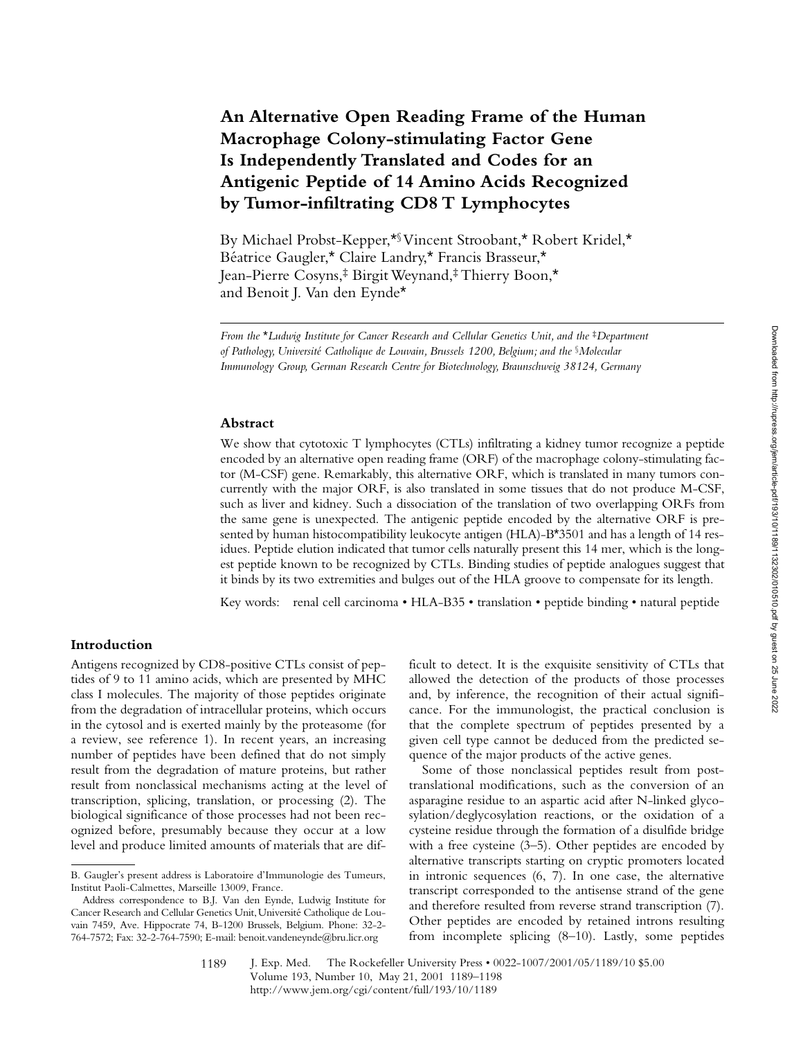# **An Alternative Open Reading Frame of the Human Macrophage Colony-stimulating Factor Gene Is Independently Translated and Codes for an Antigenic Peptide of 14 Amino Acids Recognized by Tumor-infiltrating CD8 T Lymphocytes**

By Michael Probst-Kepper,\*§ Vincent Stroobant,\* Robert Kridel,\* Béatrice Gaugler,\* Claire Landry,\* Francis Brasseur,\* Jean-Pierre Cosyns,‡ Birgit Weynand,‡ Thierry Boon,\* and Benoit J. Van den Eynde\*

*From the \*Ludwig Institute for Cancer Research and Cellular Genetics Unit, and the \*Department of Pathology, Université Catholique de Louvain, Brussels 1200, Belgium; and the* §*Molecular Immunology Group, German Research Centre for Biotechnology, Braunschweig 38124, Germany*

#### **Abstract**

We show that cytotoxic T lymphocytes (CTLs) infiltrating a kidney tumor recognize a peptide encoded by an alternative open reading frame (ORF) of the macrophage colony-stimulating factor (M-CSF) gene. Remarkably, this alternative ORF, which is translated in many tumors concurrently with the major ORF, is also translated in some tissues that do not produce M-CSF, such as liver and kidney. Such a dissociation of the translation of two overlapping ORFs from the same gene is unexpected. The antigenic peptide encoded by the alternative ORF is presented by human histocompatibility leukocyte antigen (HLA)-B\*3501 and has a length of 14 residues. Peptide elution indicated that tumor cells naturally present this 14 mer, which is the longest peptide known to be recognized by CTLs. Binding studies of peptide analogues suggest that it binds by its two extremities and bulges out of the HLA groove to compensate for its length.

Key words: renal cell carcinoma • HLA-B35 • translation • peptide binding • natural peptide

## **Introduction**

Antigens recognized by CD8-positive CTLs consist of peptides of 9 to 11 amino acids, which are presented by MHC class I molecules. The majority of those peptides originate from the degradation of intracellular proteins, which occurs in the cytosol and is exerted mainly by the proteasome (for a review, see reference 1). In recent years, an increasing number of peptides have been defined that do not simply result from the degradation of mature proteins, but rather result from nonclassical mechanisms acting at the level of transcription, splicing, translation, or processing (2). The biological significance of those processes had not been recognized before, presumably because they occur at a low level and produce limited amounts of materials that are difficult to detect. It is the exquisite sensitivity of CTLs that allowed the detection of the products of those processes and, by inference, the recognition of their actual significance. For the immunologist, the practical conclusion is that the complete spectrum of peptides presented by a given cell type cannot be deduced from the predicted sequence of the major products of the active genes.

Some of those nonclassical peptides result from posttranslational modifications, such as the conversion of an asparagine residue to an aspartic acid after N-linked glycosylation/deglycosylation reactions, or the oxidation of a cysteine residue through the formation of a disulfide bridge with a free cysteine (3–5). Other peptides are encoded by alternative transcripts starting on cryptic promoters located in intronic sequences (6, 7). In one case, the alternative transcript corresponded to the antisense strand of the gene and therefore resulted from reverse strand transcription (7). Other peptides are encoded by retained introns resulting from incomplete splicing (8–10). Lastly, some peptides

1189

B. Gaugler's present address is Laboratoire d'Immunologie des Tumeurs, Institut Paoli-Calmettes, Marseille 13009, France.

Address correspondence to B.J. Van den Eynde, Ludwig Institute for Cancer Research and Cellular Genetics Unit, Université Catholique de Louvain 7459, Ave. Hippocrate 74, B-1200 Brussels, Belgium. Phone: 32-2- 764-7572; Fax: 32-2-764-7590; E-mail: benoit.vandeneynde@bru.licr.org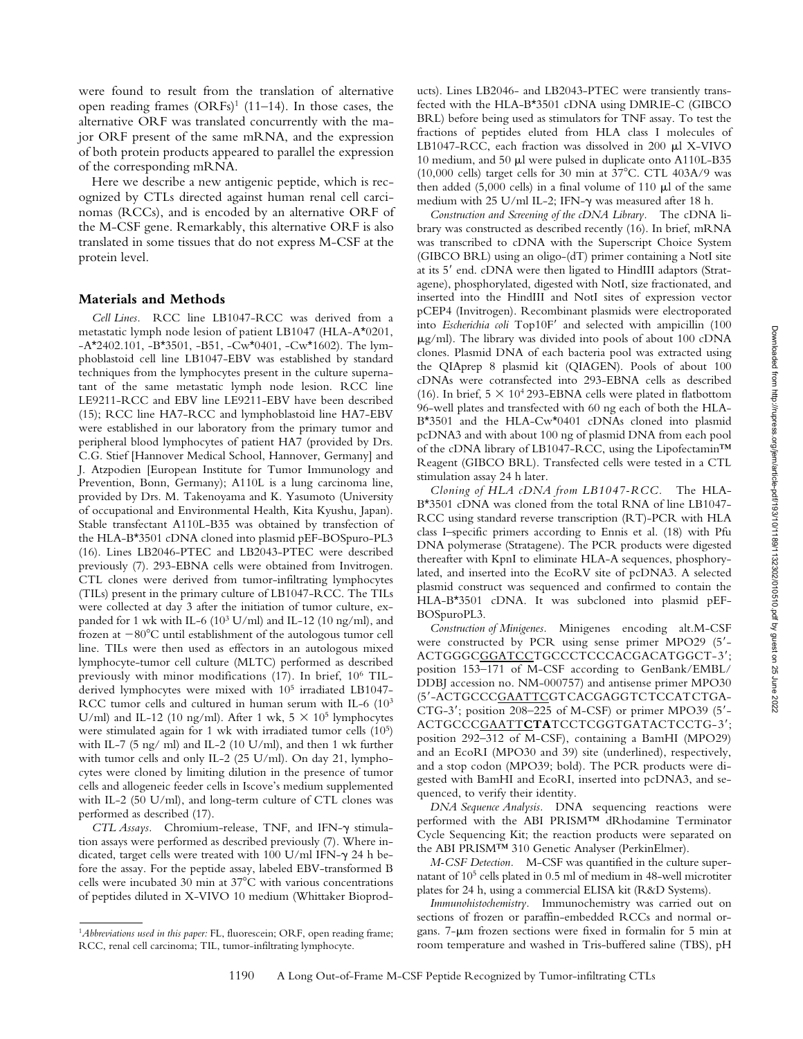were found to result from the translation of alternative open reading frames  $(ORFs)^1$  (11–14). In those cases, the alternative ORF was translated concurrently with the major ORF present of the same mRNA, and the expression of both protein products appeared to parallel the expression of the corresponding mRNA.

Here we describe a new antigenic peptide, which is recognized by CTLs directed against human renal cell carcinomas (RCCs), and is encoded by an alternative ORF of the M-CSF gene. Remarkably, this alternative ORF is also translated in some tissues that do not express M-CSF at the protein level.

#### **Materials and Methods**

*Cell Lines.* RCC line LB1047-RCC was derived from a metastatic lymph node lesion of patient LB1047 (HLA-A\*0201,  $-A*2402.101, -B*3501, -B51, -Cw*0401, -Cw*1602$ . The lymphoblastoid cell line LB1047-EBV was established by standard techniques from the lymphocytes present in the culture supernatant of the same metastatic lymph node lesion. RCC line LE9211-RCC and EBV line LE9211-EBV have been described (15); RCC line HA7-RCC and lymphoblastoid line HA7-EBV were established in our laboratory from the primary tumor and peripheral blood lymphocytes of patient HA7 (provided by Drs. C.G. Stief [Hannover Medical School, Hannover, Germany] and J. Atzpodien [European Institute for Tumor Immunology and Prevention, Bonn, Germany); A110L is a lung carcinoma line, provided by Drs. M. Takenoyama and K. Yasumoto (University of occupational and Environmental Health, Kita Kyushu, Japan). Stable transfectant A110L-B35 was obtained by transfection of the HLA-B\*3501 cDNA cloned into plasmid pEF-BOSpuro-PL3 (16). Lines LB2046-PTEC and LB2043-PTEC were described previously (7). 293-EBNA cells were obtained from Invitrogen. CTL clones were derived from tumor-infiltrating lymphocytes (TILs) present in the primary culture of LB1047-RCC. The TILs were collected at day 3 after the initiation of tumor culture, expanded for 1 wk with IL-6 ( $10^3$  U/ml) and IL-12 ( $10$  ng/ml), and frozen at  $-80^{\circ}$ C until establishment of the autologous tumor cell line. TILs were then used as effectors in an autologous mixed lymphocyte-tumor cell culture (MLTC) performed as described previously with minor modifications (17). In brief, 106 TILderived lymphocytes were mixed with 105 irradiated LB1047- RCC tumor cells and cultured in human serum with IL-6 (10<sup>3</sup>) U/ml) and IL-12 (10 ng/ml). After 1 wk,  $5 \times 10^5$  lymphocytes were stimulated again for 1 wk with irradiated tumor cells (105) with IL-7 (5 ng/ ml) and IL-2 (10 U/ml), and then 1 wk further with tumor cells and only IL-2 (25 U/ml). On day 21, lymphocytes were cloned by limiting dilution in the presence of tumor cells and allogeneic feeder cells in Iscove's medium supplemented with IL-2 (50 U/ml), and long-term culture of CTL clones was performed as described (17).

*CTL Assays.* Chromium-release, TNF, and IFN-g stimulation assays were performed as described previously (7). Where indicated, target cells were treated with 100 U/ml IFN- $\gamma$  24 h before the assay. For the peptide assay, labeled EBV-transformed B cells were incubated 30 min at  $37^{\circ}$ C with various concentrations of peptides diluted in X-VIVO 10 medium (Whittaker Bioprod-

ucts). Lines LB2046- and LB2043-PTEC were transiently transfected with the HLA-B\*3501 cDNA using DMRIE-C (GIBCO BRL) before being used as stimulators for TNF assay. To test the fractions of peptides eluted from HLA class I molecules of LB1047-RCC, each fraction was dissolved in 200 µl X-VIVO 10 medium, and 50  $\mu$ l were pulsed in duplicate onto A110L-B35 (10,000 cells) target cells for 30 min at  $37^{\circ}$ C. CTL 403A/9 was then added  $(5,000 \text{ cells})$  in a final volume of 110  $\mu$ l of the same medium with 25 U/ml IL-2; IFN- $\gamma$  was measured after 18 h.

*Construction and Screening of the cDNA Library.* The cDNA library was constructed as described recently (16). In brief, mRNA was transcribed to cDNA with the Superscript Choice System (GIBCO BRL) using an oligo-(dT) primer containing a NotI site at its 5' end. cDNA were then ligated to HindIII adaptors (Stratagene), phosphorylated, digested with NotI, size fractionated, and inserted into the HindIII and NotI sites of expression vector pCEP4 (Invitrogen). Recombinant plasmids were electroporated into *Escherichia coli* Top10F' and selected with ampicillin (100  $\mu$ g/ml). The library was divided into pools of about 100 cDNA clones. Plasmid DNA of each bacteria pool was extracted using the QIAprep 8 plasmid kit (QIAGEN). Pools of about 100 cDNAs were cotransfected into 293-EBNA cells as described (16). In brief,  $5 \times 10^4 293$ -EBNA cells were plated in flatbottom 96-well plates and transfected with 60 ng each of both the HLA-B\*3501 and the HLA-Cw\*0401 cDNAs cloned into plasmid pcDNA3 and with about 100 ng of plasmid DNA from each pool of the cDNA library of LB1047-RCC, using the Lipofectamin™ Reagent (GIBCO BRL). Transfected cells were tested in a CTL stimulation assay 24 h later.

*Cloning of HLA cDNA from LB1047-RCC.* The HLA-B\*3501 cDNA was cloned from the total RNA of line LB1047- RCC using standard reverse transcription (RT)-PCR with HLA class I–specific primers according to Ennis et al. (18) with Pfu DNA polymerase (Stratagene). The PCR products were digested thereafter with KpnI to eliminate HLA-A sequences, phosphorylated, and inserted into the EcoRV site of pcDNA3. A selected plasmid construct was sequenced and confirmed to contain the HLA-B\*3501 cDNA. It was subcloned into plasmid pEF-BOSpuroPL3.

*Construction of Minigenes.* Minigenes encoding alt.M-CSF were constructed by PCR using sense primer MPO29 (5'-ACTGGGCGGATCCTGCCCTCCCACGACATGGCT-3'; position 153–171 of M-CSF according to GenBank/EMBL/ DDBJ accession no. NM-000757) and antisense primer MPO30 (5'-ACTGCCCGAATTCGTCACGAGGTCTCCATCTGA-CTG-3'; position 208-225 of M-CSF) or primer MPO39 (5'-ACTGCCCGAATTCTATCCTCGGTGATACTCCTG-3'; position 292–312 of M-CSF), containing a BamHI (MPO29) and an EcoRI (MPO30 and 39) site (underlined), respectively, and a stop codon (MPO39; bold). The PCR products were digested with BamHI and EcoRI, inserted into pcDNA3, and sequenced, to verify their identity.

*DNA Sequence Analysis.* DNA sequencing reactions were performed with the ABI PRISM™ dRhodamine Terminator Cycle Sequencing Kit; the reaction products were separated on the ABI PRISM™ 310 Genetic Analyser (PerkinElmer).

*M-CSF Detection.* M-CSF was quantified in the culture supernatant of 105 cells plated in 0.5 ml of medium in 48-well microtiter plates for 24 h, using a commercial ELISA kit (R&D Systems).

*Immunohistochemistry.* Immunochemistry was carried out on sections of frozen or paraffin-embedded RCCs and normal organs.  $7-\mu m$  frozen sections were fixed in formalin for 5 min at room temperature and washed in Tris-buffered saline (TBS), pH

<sup>1</sup>*Abbreviations used in this paper:* FL, fluorescein; ORF, open reading frame; RCC, renal cell carcinoma; TIL, tumor-infiltrating lymphocyte.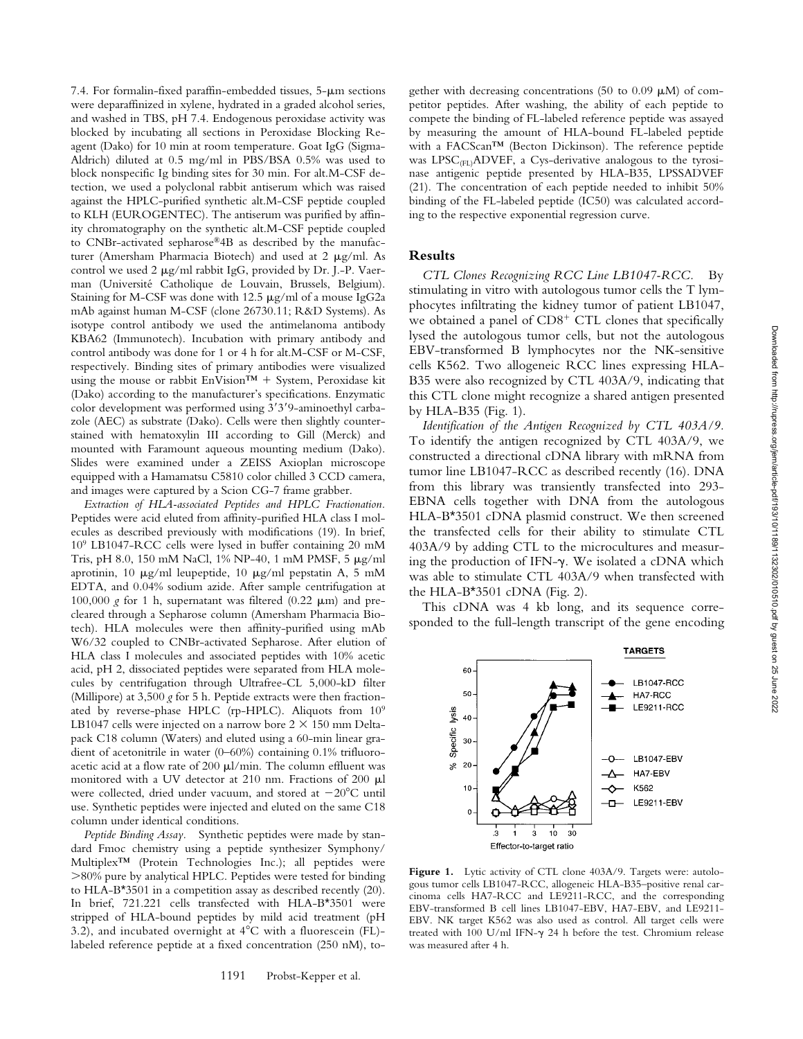7.4. For formalin-fixed paraffin-embedded tissues,  $5-\mu m$  sections were deparaffinized in xylene, hydrated in a graded alcohol series, and washed in TBS, pH 7.4. Endogenous peroxidase activity was blocked by incubating all sections in Peroxidase Blocking Reagent (Dako) for 10 min at room temperature. Goat IgG (Sigma-Aldrich) diluted at 0.5 mg/ml in PBS/BSA 0.5% was used to block nonspecific Ig binding sites for 30 min. For alt.M-CSF detection, we used a polyclonal rabbit antiserum which was raised against the HPLC-purified synthetic alt.M-CSF peptide coupled to KLH (EUROGENTEC). The antiserum was purified by affinity chromatography on the synthetic alt.M-CSF peptide coupled to CNBr-activated sepharose®4B as described by the manufacturer (Amersham Pharmacia Biotech) and used at 2  $\mu$ g/ml. As control we used 2  $\mu$ g/ml rabbit IgG, provided by Dr. J.-P. Vaerman (Université Catholique de Louvain, Brussels, Belgium). Staining for M-CSF was done with 12.5  $\mu$ g/ml of a mouse IgG2a mAb against human M-CSF (clone 26730.11; R&D Systems). As isotype control antibody we used the antimelanoma antibody KBA62 (Immunotech). Incubation with primary antibody and control antibody was done for 1 or 4 h for alt.M-CSF or M-CSF, respectively. Binding sites of primary antibodies were visualized using the mouse or rabbit EnVision<sup>TM</sup> + System, Peroxidase kit (Dako) according to the manufacturer's specifications. Enzymatic color development was performed using  $3'3'9$ -aminoethyl carbazole (AEC) as substrate (Dako). Cells were then slightly counterstained with hematoxylin III according to Gill (Merck) and mounted with Faramount aqueous mounting medium (Dako). Slides were examined under a ZEISS Axioplan microscope equipped with a Hamamatsu C5810 color chilled 3 CCD camera, and images were captured by a Scion CG-7 frame grabber.

*Extraction of HLA-associated Peptides and HPLC Fractionation.* Peptides were acid eluted from affinity-purified HLA class I molecules as described previously with modifications (19). In brief, 109 LB1047-RCC cells were lysed in buffer containing 20 mM Tris, pH 8.0, 150 mM NaCl, 1% NP-40, 1 mM PMSF, 5 µg/ml aprotinin, 10  $\mu$ g/ml leupeptide, 10  $\mu$ g/ml pepstatin A, 5 mM EDTA, and 0.04% sodium azide. After sample centrifugation at 100,000  $g$  for 1 h, supernatant was filtered (0.22  $\mu$ m) and precleared through a Sepharose column (Amersham Pharmacia Biotech). HLA molecules were then affinity-purified using mAb W6/32 coupled to CNBr-activated Sepharose. After elution of HLA class I molecules and associated peptides with 10% acetic acid, pH 2, dissociated peptides were separated from HLA molecules by centrifugation through Ultrafree-CL 5,000-kD filter (Millipore) at 3,500 *g* for 5 h. Peptide extracts were then fractionated by reverse-phase HPLC (rp-HPLC). Aliquots from 109 LB1047 cells were injected on a narrow bore  $2 \times 150$  mm Deltapack C18 column (Waters) and eluted using a 60-min linear gradient of acetonitrile in water (0–60%) containing 0.1% trifluoroacetic acid at a flow rate of 200  $\mu$ l/min. The column effluent was monitored with a UV detector at 210 nm. Fractions of 200 ml were collected, dried under vacuum, and stored at  $-20^{\circ}$ C until use. Synthetic peptides were injected and eluted on the same C18 column under identical conditions.

*Peptide Binding Assay.* Synthetic peptides were made by standard Fmoc chemistry using a peptide synthesizer Symphony/ Multiplex™ (Protein Technologies Inc.); all peptides were  $>80\%$  pure by analytical HPLC. Peptides were tested for binding to HLA-B\*3501 in a competition assay as described recently (20). In brief, 721.221 cells transfected with HLA-B\*3501 were stripped of HLA-bound peptides by mild acid treatment (pH 3.2), and incubated overnight at  $4^{\circ}$ C with a fluorescein (FL)labeled reference peptide at a fixed concentration (250 nM), to-

gether with decreasing concentrations (50 to 0.09  $\mu$ M) of competitor peptides. After washing, the ability of each peptide to compete the binding of FL-labeled reference peptide was assayed by measuring the amount of HLA-bound FL-labeled peptide with a FACScan™ (Becton Dickinson). The reference peptide was  $LPSC<sub>(FL)</sub>ADVEF$ , a Cys-derivative analogous to the tyrosinase antigenic peptide presented by HLA-B35, LPSSADVEF (21). The concentration of each peptide needed to inhibit 50% binding of the FL-labeled peptide (IC50) was calculated according to the respective exponential regression curve.

#### **Results**

*CTL Clones Recognizing RCC Line LB1047-RCC.* By stimulating in vitro with autologous tumor cells the T lymphocytes infiltrating the kidney tumor of patient LB1047, we obtained a panel of  $CDS<sup>+</sup> CTL$  clones that specifically lysed the autologous tumor cells, but not the autologous EBV-transformed B lymphocytes nor the NK-sensitive cells K562. Two allogeneic RCC lines expressing HLA-B35 were also recognized by CTL 403A/9, indicating that this CTL clone might recognize a shared antigen presented by HLA-B35 (Fig. 1).

*Identification of the Antigen Recognized by CTL 403A/9.* To identify the antigen recognized by CTL 403A/9, we constructed a directional cDNA library with mRNA from tumor line LB1047-RCC as described recently (16). DNA from this library was transiently transfected into 293- EBNA cells together with DNA from the autologous HLA-B\*3501 cDNA plasmid construct. We then screened the transfected cells for their ability to stimulate CTL 403A/9 by adding CTL to the microcultures and measuring the production of IFN-g. We isolated a cDNA which was able to stimulate CTL 403A/9 when transfected with the HLA-B\*3501 cDNA (Fig. 2).

This cDNA was 4 kb long, and its sequence corresponded to the full-length transcript of the gene encoding

60

 $50<sub>1</sub>$ 

 $40<sup>1</sup>$  $30<sub>1</sub>$  **TARGETS** 

LB1047-RCC

HA7-RCC LE9211-RCC



Figure 1. Lytic activity of CTL clone 403A/9. Targets were: autologous tumor cells LB1047-RCC, allogeneic HLA-B35–positive renal carcinoma cells HA7-RCC and LE9211-RCC, and the corresponding EBV-transformed B cell lines LB1047-EBV, HA7-EBV, and LE9211- EBV. NK target K562 was also used as control. All target cells were treated with 100 U/ml IFN-g 24 h before the test. Chromium release was measured after 4 h.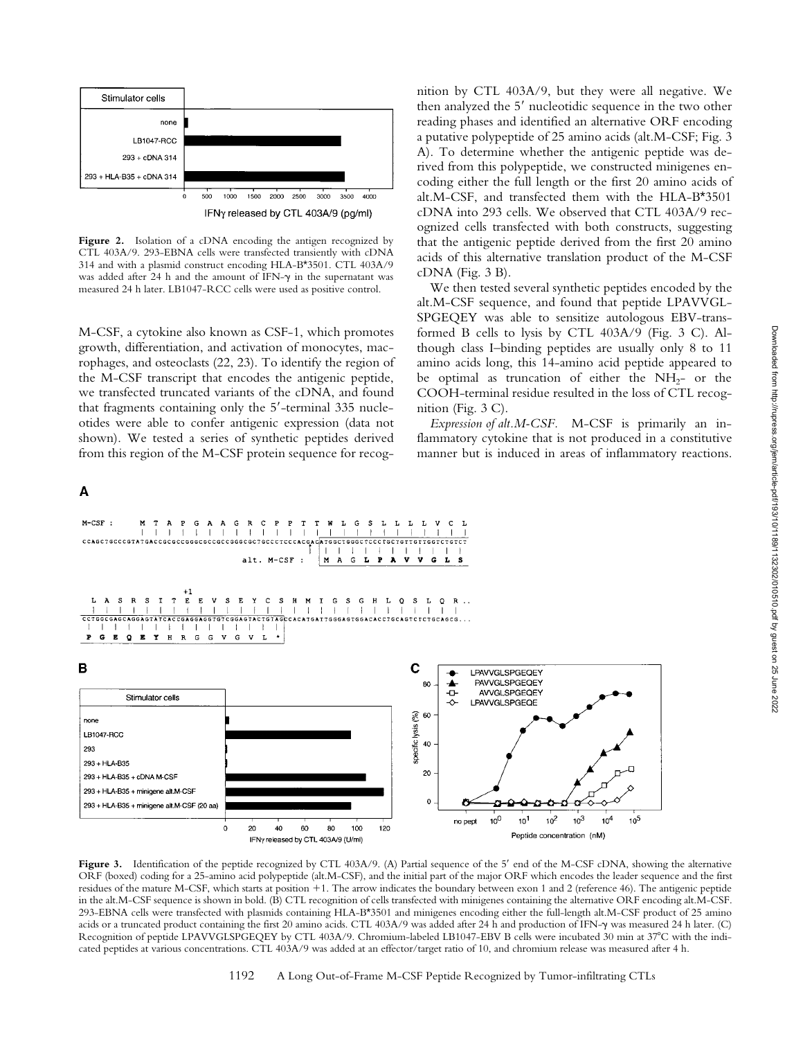

**Figure 2.** Isolation of a cDNA encoding the antigen recognized by CTL 403A/9. 293-EBNA cells were transfected transiently with cDNA 314 and with a plasmid construct encoding HLA-B\*3501. CTL 403A/9 was added after 24 h and the amount of IFN- $\gamma$  in the supernatant was measured 24 h later. LB1047-RCC cells were used as positive control.

M-CSF, a cytokine also known as CSF-1, which promotes growth, differentiation, and activation of monocytes, macrophages, and osteoclasts (22, 23). To identify the region of the M-CSF transcript that encodes the antigenic peptide, we transfected truncated variants of the cDNA, and found that fragments containing only the  $5'$ -terminal 335 nucleotides were able to confer antigenic expression (data not shown). We tested a series of synthetic peptides derived from this region of the M-CSF protein sequence for recog-

> G  $\frac{A}{I}$

 $\overline{\mathsf{A}}$ 

 $M-CSF$  :



alt.M-CSF sequence, and found that peptide LPAVVGL-SPGEQEY was able to sensitize autologous EBV-transformed B cells to lysis by CTL 403A/9 (Fig. 3 C). Although class I–binding peptides are usually only 8 to 11 amino acids long, this 14-amino acid peptide appeared to be optimal as truncation of either the  $NH_{2-}$  or the COOH-terminal residue resulted in the loss of CTL recognition (Fig. 3 C).

*Expression of alt.M-CSF.* M-CSF is primarily an inflammatory cytokine that is not produced in a constitutive manner but is induced in areas of inflammatory reactions.



Figure 3. Identification of the peptide recognized by CTL 403A/9. (A) Partial sequence of the 5' end of the M-CSF cDNA, showing the alternative ORF (boxed) coding for a 25-amino acid polypeptide (alt.M-CSF), and the initial part of the major ORF which encodes the leader sequence and the first residues of the mature M-CSF, which starts at position +1. The arrow indicates the boundary between exon 1 and 2 (reference 46). The antigenic peptide in the alt.M-CSF sequence is shown in bold. (B) CTL recognition of cells transfected with minigenes containing the alternative ORF encoding alt.M-CSF. 293-EBNA cells were transfected with plasmids containing HLA-B\*3501 and minigenes encoding either the full-length alt.M-CSF product of 25 amino acids or a truncated product containing the first 20 amino acids. CTL 403A/9 was added after 24 h and production of IFN-g was measured 24 h later. (C) Recognition of peptide LPAVVGLSPGEQEY by CTL 403A/9. Chromium-labeled LB1047-EBV B cells were incubated 30 min at 37°C with the indicated peptides at various concentrations. CTL 403A/9 was added at an effector/target ratio of 10, and chromium release was measured after 4 h.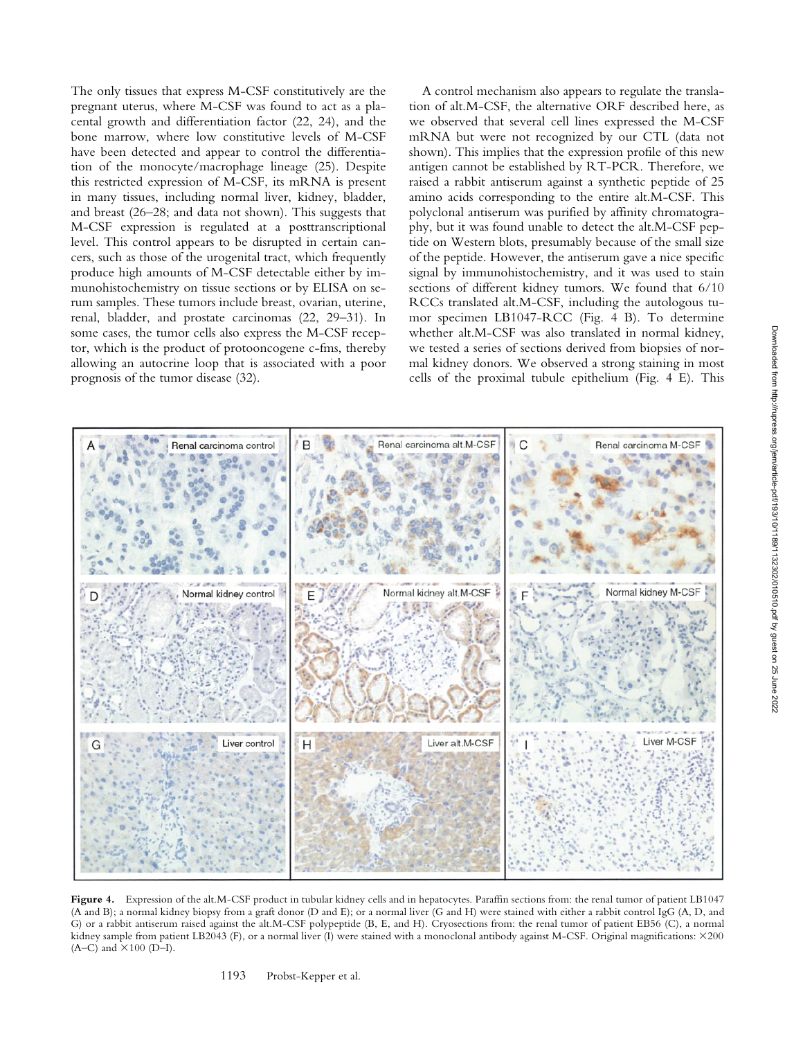The only tissues that express M-CSF constitutively are the pregnant uterus, where M-CSF was found to act as a placental growth and differentiation factor (22, 24), and the bone marrow, where low constitutive levels of M-CSF have been detected and appear to control the differentiation of the monocyte/macrophage lineage (25). Despite this restricted expression of M-CSF, its mRNA is present in many tissues, including normal liver, kidney, bladder, and breast (26–28; and data not shown). This suggests that M-CSF expression is regulated at a posttranscriptional level. This control appears to be disrupted in certain cancers, such as those of the urogenital tract, which frequently produce high amounts of M-CSF detectable either by immunohistochemistry on tissue sections or by ELISA on serum samples. These tumors include breast, ovarian, uterine, renal, bladder, and prostate carcinomas (22, 29–31). In some cases, the tumor cells also express the M-CSF receptor, which is the product of protooncogene c-fms, thereby allowing an autocrine loop that is associated with a poor prognosis of the tumor disease (32).

A control mechanism also appears to regulate the translation of alt.M-CSF, the alternative ORF described here, as we observed that several cell lines expressed the M-CSF mRNA but were not recognized by our CTL (data not shown). This implies that the expression profile of this new antigen cannot be established by RT-PCR. Therefore, we raised a rabbit antiserum against a synthetic peptide of 25 amino acids corresponding to the entire alt.M-CSF. This polyclonal antiserum was purified by affinity chromatography, but it was found unable to detect the alt.M-CSF peptide on Western blots, presumably because of the small size of the peptide. However, the antiserum gave a nice specific signal by immunohistochemistry, and it was used to stain sections of different kidney tumors. We found that 6/10 RCCs translated alt.M-CSF, including the autologous tumor specimen LB1047-RCC (Fig. 4 B). To determine whether alt.M-CSF was also translated in normal kidney, we tested a series of sections derived from biopsies of normal kidney donors. We observed a strong staining in most cells of the proximal tubule epithelium (Fig. 4 E). This



Figure 4. Expression of the alt.M-CSF product in tubular kidney cells and in hepatocytes. Paraffin sections from: the renal tumor of patient LB1047 (A and B); a normal kidney biopsy from a graft donor (D and E); or a normal liver (G and H) were stained with either a rabbit control IgG (A, D, and G) or a rabbit antiserum raised against the alt.M-CSF polypeptide (B, E, and H). Cryosections from: the renal tumor of patient EB56 (C), a normal kidney sample from patient LB2043 (F), or a normal liver (I) were stained with a monoclonal antibody against M-CSF. Original magnifications:  $\times$ 200  $(A-C)$  and  $\times 100$  (D–I).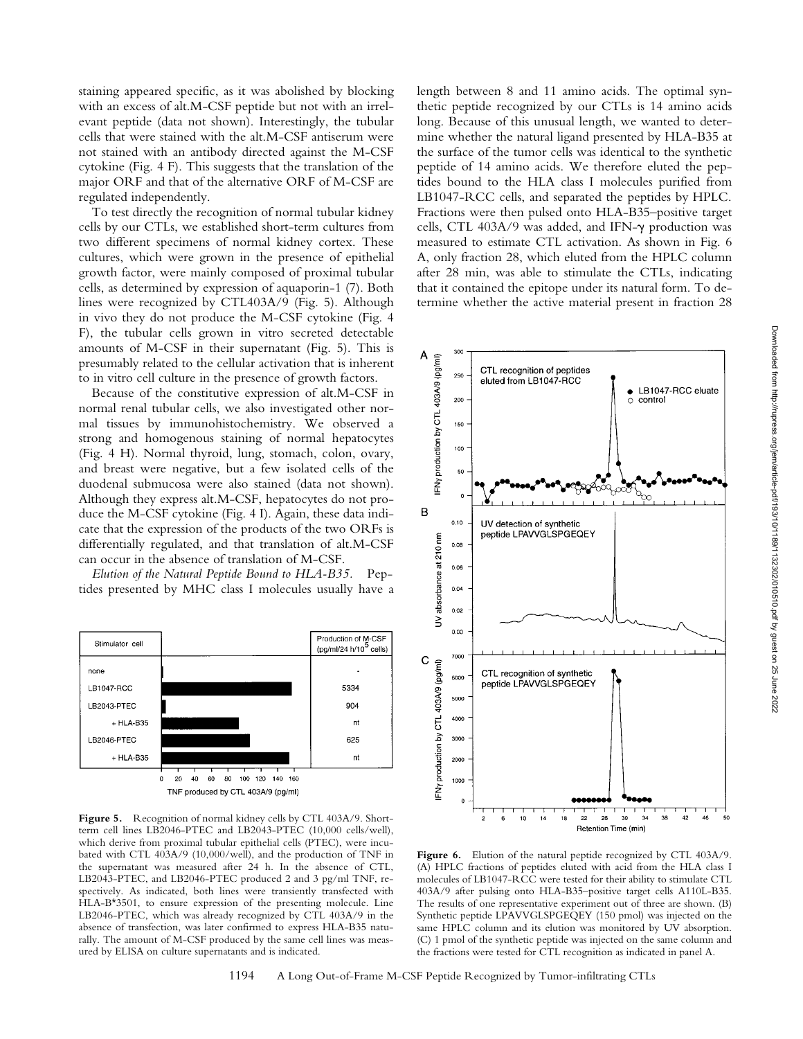staining appeared specific, as it was abolished by blocking with an excess of alt.M-CSF peptide but not with an irrelevant peptide (data not shown). Interestingly, the tubular cells that were stained with the alt.M-CSF antiserum were not stained with an antibody directed against the M-CSF cytokine (Fig. 4 F). This suggests that the translation of the major ORF and that of the alternative ORF of M-CSF are regulated independently.

To test directly the recognition of normal tubular kidney cells by our CTLs, we established short-term cultures from two different specimens of normal kidney cortex. These cultures, which were grown in the presence of epithelial growth factor, were mainly composed of proximal tubular cells, as determined by expression of aquaporin-1 (7). Both lines were recognized by CTL403A/9 (Fig. 5). Although in vivo they do not produce the M-CSF cytokine (Fig. 4 F), the tubular cells grown in vitro secreted detectable amounts of M-CSF in their supernatant (Fig. 5). This is presumably related to the cellular activation that is inherent to in vitro cell culture in the presence of growth factors.

Because of the constitutive expression of alt.M-CSF in normal renal tubular cells, we also investigated other normal tissues by immunohistochemistry. We observed a strong and homogenous staining of normal hepatocytes (Fig. 4 H). Normal thyroid, lung, stomach, colon, ovary, and breast were negative, but a few isolated cells of the duodenal submucosa were also stained (data not shown). Although they express alt.M-CSF, hepatocytes do not produce the M-CSF cytokine (Fig. 4 I). Again, these data indicate that the expression of the products of the two ORFs is differentially regulated, and that translation of alt.M-CSF can occur in the absence of translation of M-CSF.

*Elution of the Natural Peptide Bound to HLA-B35.* Peptides presented by MHC class I molecules usually have a



Figure 5. Recognition of normal kidney cells by CTL 403A/9. Shortterm cell lines LB2046-PTEC and LB2043-PTEC (10,000 cells/well), which derive from proximal tubular epithelial cells (PTEC), were incubated with CTL 403A/9 (10,000/well), and the production of TNF in the supernatant was measured after 24 h. In the absence of CTL, LB2043-PTEC, and LB2046-PTEC produced 2 and 3 pg/ml TNF, respectively. As indicated, both lines were transiently transfected with HLA-B\*3501, to ensure expression of the presenting molecule. Line LB2046-PTEC, which was already recognized by CTL 403A/9 in the absence of transfection, was later confirmed to express HLA-B35 naturally. The amount of M-CSF produced by the same cell lines was measured by ELISA on culture supernatants and is indicated.

length between 8 and 11 amino acids. The optimal synthetic peptide recognized by our CTLs is 14 amino acids long. Because of this unusual length, we wanted to determine whether the natural ligand presented by HLA-B35 at the surface of the tumor cells was identical to the synthetic peptide of 14 amino acids. We therefore eluted the peptides bound to the HLA class I molecules purified from LB1047-RCC cells, and separated the peptides by HPLC. Fractions were then pulsed onto HLA-B35–positive target cells, CTL 403A/9 was added, and IFN-g production was measured to estimate CTL activation. As shown in Fig. 6 A, only fraction 28, which eluted from the HPLC column after 28 min, was able to stimulate the CTLs, indicating that it contained the epitope under its natural form. To determine whether the active material present in fraction 28



Figure 6. Elution of the natural peptide recognized by CTL 403A/9. (A) HPLC fractions of peptides eluted with acid from the HLA class I molecules of LB1047-RCC were tested for their ability to stimulate CTL 403A/9 after pulsing onto HLA-B35–positive target cells A110L-B35. The results of one representative experiment out of three are shown. (B) Synthetic peptide LPAVVGLSPGEQEY (150 pmol) was injected on the same HPLC column and its elution was monitored by UV absorption. (C) 1 pmol of the synthetic peptide was injected on the same column and the fractions were tested for CTL recognition as indicated in panel A.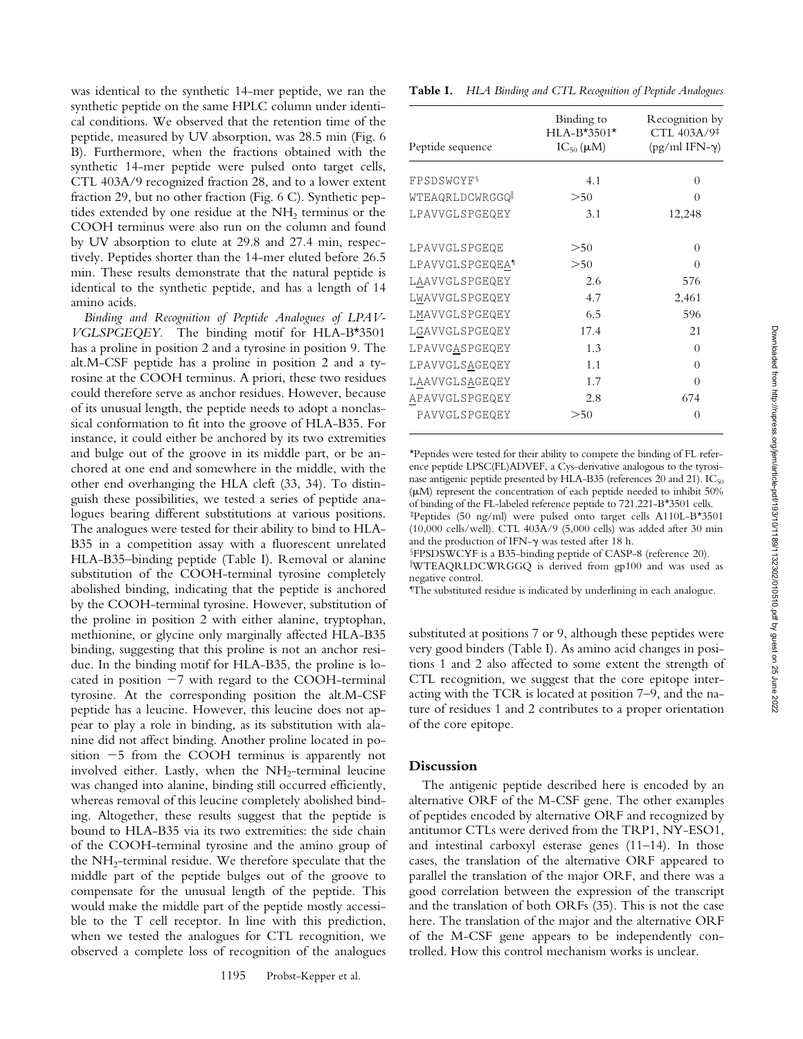was identical to the synthetic 14-mer peptide, we ran the synthetic peptide on the same HPLC column under identical conditions. We observed that the retention time of the peptide, measured by UV absorption, was 28.5 min (Fig. 6 B). Furthermore, when the fractions obtained with the synthetic 14-mer peptide were pulsed onto target cells, CTL 403A/9 recognized fraction 28, and to a lower extent fraction 29, but no other fraction (Fig. 6 C). Synthetic peptides extended by one residue at the  $NH<sub>2</sub>$  terminus or the COOH terminus were also run on the column and found by UV absorption to elute at 29.8 and 27.4 min, respectively. Peptides shorter than the 14-mer eluted before 26.5 min. These results demonstrate that the natural peptide is identical to the synthetic peptide, and has a length of 14 amino acids.

*Binding and Recognition of Peptide Analogues of LPAV-VGLSPGEQEY.* The binding motif for HLA-B\*3501 has a proline in position 2 and a tyrosine in position 9. The alt.M-CSF peptide has a proline in position 2 and a tyrosine at the COOH terminus. A priori, these two residues could therefore serve as anchor residues. However, because of its unusual length, the peptide needs to adopt a nonclassical conformation to fit into the groove of HLA-B35. For instance, it could either be anchored by its two extremities and bulge out of the groove in its middle part, or be anchored at one end and somewhere in the middle, with the other end overhanging the HLA cleft (33, 34). To distinguish these possibilities, we tested a series of peptide analogues bearing different substitutions at various positions. The analogues were tested for their ability to bind to HLA-B35 in a competition assay with a fluorescent unrelated HLA-B35–binding peptide (Table I). Removal or alanine substitution of the COOH-terminal tyrosine completely abolished binding, indicating that the peptide is anchored by the COOH-terminal tyrosine. However, substitution of the proline in position 2 with either alanine, tryptophan, methionine, or glycine only marginally affected HLA-B35 binding, suggesting that this proline is not an anchor residue. In the binding motif for HLA-B35, the proline is located in position  $-7$  with regard to the COOH-terminal tyrosine. At the corresponding position the alt.M-CSF peptide has a leucine. However, this leucine does not appear to play a role in binding, as its substitution with alanine did not affect binding. Another proline located in position  $-5$  from the COOH terminus is apparently not involved either. Lastly, when the  $NH<sub>2</sub>$ -terminal leucine was changed into alanine, binding still occurred efficiently, whereas removal of this leucine completely abolished binding. Altogether, these results suggest that the peptide is bound to HLA-B35 via its two extremities: the side chain of the COOH-terminal tyrosine and the amino group of the NH<sub>2</sub>-terminal residue. We therefore speculate that the middle part of the peptide bulges out of the groove to compensate for the unusual length of the peptide. This would make the middle part of the peptide mostly accessible to the T cell receptor. In line with this prediction, when we tested the analogues for CTL recognition, we observed a complete loss of recognition of the analogues

**Table I.** *HLA Binding and CTL Recognition of Peptide Analogues*

| Peptide sequence              | Binding to<br>$HLA-B*3501*$<br>$IC_{50}(\mu M)$ | Recognition by<br>CTL 403A/9 <sup>‡</sup><br>$(pg/ml IFN-\gamma)$ |
|-------------------------------|-------------------------------------------------|-------------------------------------------------------------------|
| <b>FPSDSWCYF</b> <sup>§</sup> | 4.1                                             | 0                                                                 |
| WTEAQRLDCWRGGQ                | >50                                             | $\Omega$                                                          |
|                               |                                                 |                                                                   |
| LPAVVGLSPGEQEY                | 3.1                                             | 12,248                                                            |
| LPAVVGLSPGEQE                 | > 50                                            | 0                                                                 |
| LPAVVGLSPGEQEA <sup>1</sup>   | >50                                             | $\Omega$                                                          |
| LAAVVGLSPGEQEY                | 2.6                                             | 576                                                               |
| LWAVVGLSPGEQEY                | 4.7                                             | 2,461                                                             |
| LMAVVGLSPGEQEY                | 6.5                                             | 596                                                               |
| LGAVVGLSPGEQEY                | 17.4                                            | 21                                                                |
| LPAVVGASPGEQEY                | 1.3                                             | 0                                                                 |
| LPAVVGLSAGEQEY                | 1.1                                             | $\Omega$                                                          |
| LAAVVGLSAGEQEY                | 1.7                                             | $\Omega$                                                          |
| APAVVGLSPGEQEY                | 2.8                                             | 674                                                               |
| PAVVGLSPGEQEY                 | > 50                                            | 0                                                                 |

\*Peptides were tested for their ability to compete the binding of FL reference peptide LPSC(FL)ADVEF, a Cys-derivative analogous to the tyrosinase antigenic peptide presented by HLA-B35 (references 20 and 21).  $IC_{50}$  $(\mu M)$  represent the concentration of each peptide needed to inhibit 50% of binding of the FL-labeled reference peptide to 721.221-B\*3501 cells. ‡Peptides (50 ng/ml) were pulsed onto target cells A110L-B\*3501 (10,000 cells/well). CTL 403A/9 (5,000 cells) was added after 30 min and the production of IFN- $\gamma$  was tested after 18 h.

§FPSDSWCYF is a B35-binding peptide of CASP-8 (reference 20). i WTEAQRLDCWRGGQ is derived from gp100 and was used as negative control.

¶ The substituted residue is indicated by underlining in each analogue.

substituted at positions 7 or 9, although these peptides were very good binders (Table I). As amino acid changes in positions 1 and 2 also affected to some extent the strength of CTL recognition, we suggest that the core epitope interacting with the TCR is located at position 7–9, and the nature of residues 1 and 2 contributes to a proper orientation of the core epitope.

## **Discussion**

The antigenic peptide described here is encoded by an alternative ORF of the M-CSF gene. The other examples of peptides encoded by alternative ORF and recognized by antitumor CTLs were derived from the TRP1, NY-ESO1, and intestinal carboxyl esterase genes (11–14). In those cases, the translation of the alternative ORF appeared to parallel the translation of the major ORF, and there was a good correlation between the expression of the transcript and the translation of both ORFs (35). This is not the case here. The translation of the major and the alternative ORF of the M-CSF gene appears to be independently controlled. How this control mechanism works is unclear.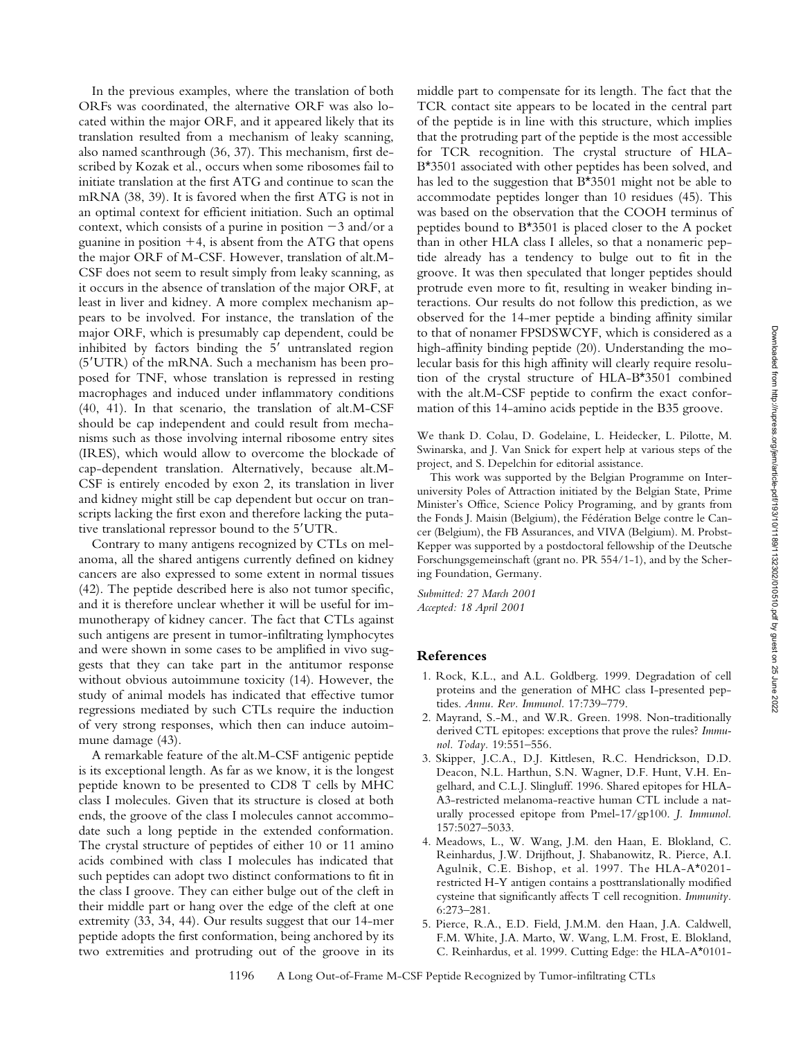In the previous examples, where the translation of both ORFs was coordinated, the alternative ORF was also located within the major ORF, and it appeared likely that its translation resulted from a mechanism of leaky scanning, also named scanthrough (36, 37). This mechanism, first described by Kozak et al., occurs when some ribosomes fail to initiate translation at the first ATG and continue to scan the mRNA (38, 39). It is favored when the first ATG is not in an optimal context for efficient initiation. Such an optimal context, which consists of a purine in position  $-3$  and/or a guanine in position  $+4$ , is absent from the ATG that opens the major ORF of M-CSF. However, translation of alt.M-CSF does not seem to result simply from leaky scanning, as it occurs in the absence of translation of the major ORF, at least in liver and kidney. A more complex mechanism appears to be involved. For instance, the translation of the major ORF, which is presumably cap dependent, could be inhibited by factors binding the  $5'$  untranslated region  $(5'UTR)$  of the mRNA. Such a mechanism has been proposed for TNF, whose translation is repressed in resting macrophages and induced under inflammatory conditions (40, 41). In that scenario, the translation of alt.M-CSF should be cap independent and could result from mechanisms such as those involving internal ribosome entry sites (IRES), which would allow to overcome the blockade of cap-dependent translation. Alternatively, because alt.M-CSF is entirely encoded by exon 2, its translation in liver and kidney might still be cap dependent but occur on transcripts lacking the first exon and therefore lacking the putative translational repressor bound to the 5'UTR.

Contrary to many antigens recognized by CTLs on melanoma, all the shared antigens currently defined on kidney cancers are also expressed to some extent in normal tissues (42). The peptide described here is also not tumor specific, and it is therefore unclear whether it will be useful for immunotherapy of kidney cancer. The fact that CTLs against such antigens are present in tumor-infiltrating lymphocytes and were shown in some cases to be amplified in vivo suggests that they can take part in the antitumor response without obvious autoimmune toxicity (14). However, the study of animal models has indicated that effective tumor regressions mediated by such CTLs require the induction of very strong responses, which then can induce autoimmune damage (43).

A remarkable feature of the alt.M-CSF antigenic peptide is its exceptional length. As far as we know, it is the longest peptide known to be presented to CD8 T cells by MHC class I molecules. Given that its structure is closed at both ends, the groove of the class I molecules cannot accommodate such a long peptide in the extended conformation. The crystal structure of peptides of either 10 or 11 amino acids combined with class I molecules has indicated that such peptides can adopt two distinct conformations to fit in the class I groove. They can either bulge out of the cleft in their middle part or hang over the edge of the cleft at one extremity (33, 34, 44). Our results suggest that our 14-mer peptide adopts the first conformation, being anchored by its two extremities and protruding out of the groove in its

middle part to compensate for its length. The fact that the TCR contact site appears to be located in the central part of the peptide is in line with this structure, which implies that the protruding part of the peptide is the most accessible for TCR recognition. The crystal structure of HLA-B\*3501 associated with other peptides has been solved, and has led to the suggestion that B\*3501 might not be able to accommodate peptides longer than 10 residues (45). This was based on the observation that the COOH terminus of peptides bound to B\*3501 is placed closer to the A pocket than in other HLA class I alleles, so that a nonameric peptide already has a tendency to bulge out to fit in the groove. It was then speculated that longer peptides should protrude even more to fit, resulting in weaker binding interactions. Our results do not follow this prediction, as we observed for the 14-mer peptide a binding affinity similar to that of nonamer FPSDSWCYF, which is considered as a high-affinity binding peptide (20). Understanding the molecular basis for this high affinity will clearly require resolution of the crystal structure of HLA-B\*3501 combined with the alt.M-CSF peptide to confirm the exact conformation of this 14-amino acids peptide in the B35 groove.

We thank D. Colau, D. Godelaine, L. Heidecker, L. Pilotte, M. Swinarska, and J. Van Snick for expert help at various steps of the project, and S. Depelchin for editorial assistance.

This work was supported by the Belgian Programme on Interuniversity Poles of Attraction initiated by the Belgian State, Prime Minister's Office, Science Policy Programing, and by grants from the Fonds J. Maisin (Belgium), the Fédération Belge contre le Cancer (Belgium), the FB Assurances, and VIVA (Belgium). M. Probst-Kepper was supported by a postdoctoral fellowship of the Deutsche Forschungsgemeinschaft (grant no. PR 554/1-1), and by the Schering Foundation, Germany.

*Submitted: 27 March 2001 Accepted: 18 April 2001*

## **References**

- 1. Rock, K.L., and A.L. Goldberg. 1999. Degradation of cell proteins and the generation of MHC class I-presented peptides. *Annu. Rev. Immunol.* 17:739–779.
- 2. Mayrand, S.-M., and W.R. Green. 1998. Non-traditionally derived CTL epitopes: exceptions that prove the rules? *Immunol. Today.* 19:551–556.
- 3. Skipper, J.C.A., D.J. Kittlesen, R.C. Hendrickson, D.D. Deacon, N.L. Harthun, S.N. Wagner, D.F. Hunt, V.H. Engelhard, and C.L.J. Slingluff. 1996. Shared epitopes for HLA-A3-restricted melanoma-reactive human CTL include a naturally processed epitope from Pmel-17/gp100. *J. Immunol.* 157:5027–5033.
- 4. Meadows, L., W. Wang, J.M. den Haan, E. Blokland, C. Reinhardus, J.W. Drijfhout, J. Shabanowitz, R. Pierce, A.I. Agulnik, C.E. Bishop, et al. 1997. The HLA-A\*0201 restricted H-Y antigen contains a posttranslationally modified cysteine that significantly affects T cell recognition. *Immunity.* 6:273–281.
- 5. Pierce, R.A., E.D. Field, J.M.M. den Haan, J.A. Caldwell, F.M. White, J.A. Marto, W. Wang, L.M. Frost, E. Blokland, C. Reinhardus, et al. 1999. Cutting Edge: the HLA-A\*0101-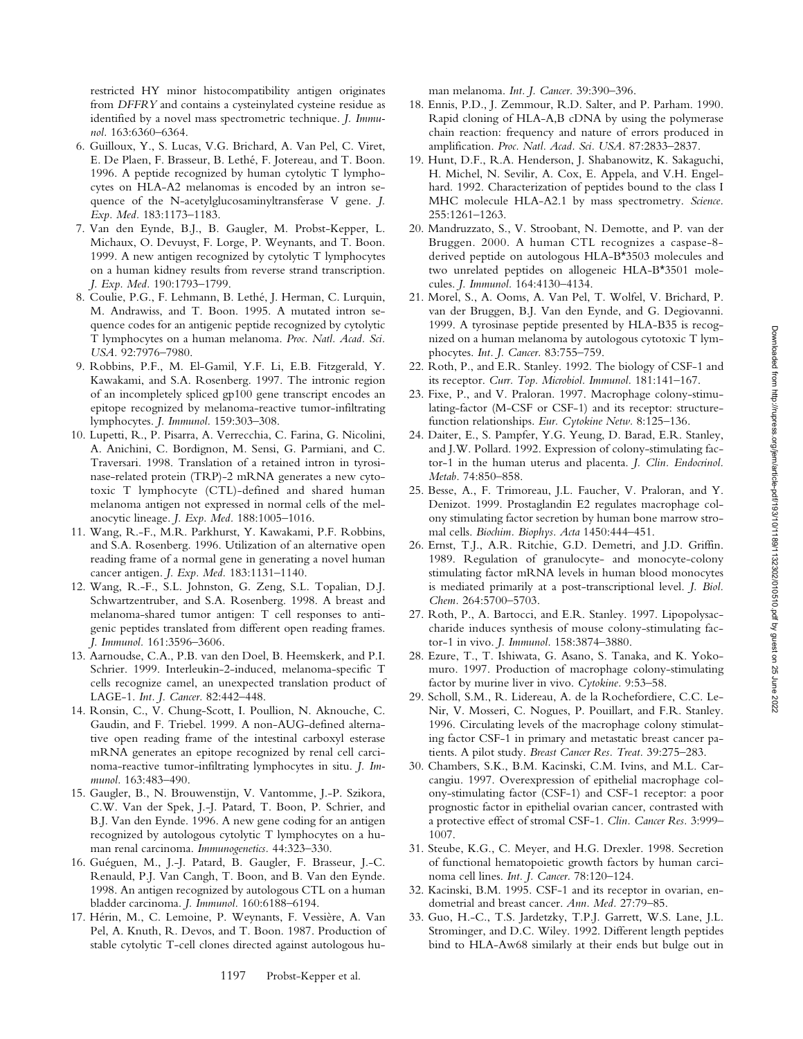restricted HY minor histocompatibility antigen originates from *DFFRY* and contains a cysteinylated cysteine residue as identified by a novel mass spectrometric technique. *J. Immunol.* 163:6360–6364.

- 6. Guilloux, Y., S. Lucas, V.G. Brichard, A. Van Pel, C. Viret, E. De Plaen, F. Brasseur, B. Lethé, F. Jotereau, and T. Boon. 1996. A peptide recognized by human cytolytic T lymphocytes on HLA-A2 melanomas is encoded by an intron sequence of the N-acetylglucosaminyltransferase V gene. *J. Exp. Med.* 183:1173–1183.
- 7. Van den Eynde, B.J., B. Gaugler, M. Probst-Kepper, L. Michaux, O. Devuyst, F. Lorge, P. Weynants, and T. Boon. 1999. A new antigen recognized by cytolytic T lymphocytes on a human kidney results from reverse strand transcription. *J. Exp. Med.* 190:1793–1799.
- 8. Coulie, P.G., F. Lehmann, B. Lethé, J. Herman, C. Lurquin, M. Andrawiss, and T. Boon. 1995. A mutated intron sequence codes for an antigenic peptide recognized by cytolytic T lymphocytes on a human melanoma. *Proc. Natl. Acad. Sci. USA.* 92:7976–7980.
- 9. Robbins, P.F., M. El-Gamil, Y.F. Li, E.B. Fitzgerald, Y. Kawakami, and S.A. Rosenberg. 1997. The intronic region of an incompletely spliced gp100 gene transcript encodes an epitope recognized by melanoma-reactive tumor-infiltrating lymphocytes. *J. Immunol.* 159:303–308.
- 10. Lupetti, R., P. Pisarra, A. Verrecchia, C. Farina, G. Nicolini, A. Anichini, C. Bordignon, M. Sensi, G. Parmiani, and C. Traversari. 1998. Translation of a retained intron in tyrosinase-related protein (TRP)-2 mRNA generates a new cytotoxic T lymphocyte (CTL)-defined and shared human melanoma antigen not expressed in normal cells of the melanocytic lineage. *J. Exp. Med.* 188:1005–1016.
- 11. Wang, R.-F., M.R. Parkhurst, Y. Kawakami, P.F. Robbins, and S.A. Rosenberg. 1996. Utilization of an alternative open reading frame of a normal gene in generating a novel human cancer antigen. *J. Exp. Med.* 183:1131–1140.
- 12. Wang, R.-F., S.L. Johnston, G. Zeng, S.L. Topalian, D.J. Schwartzentruber, and S.A. Rosenberg. 1998. A breast and melanoma-shared tumor antigen: T cell responses to antigenic peptides translated from different open reading frames. *J. Immunol.* 161:3596–3606.
- 13. Aarnoudse, C.A., P.B. van den Doel, B. Heemskerk, and P.I. Schrier. 1999. Interleukin-2-induced, melanoma-specific T cells recognize camel, an unexpected translation product of LAGE-1. *Int. J. Cancer.* 82:442–448.
- 14. Ronsin, C., V. Chung-Scott, I. Poullion, N. Aknouche, C. Gaudin, and F. Triebel. 1999. A non-AUG-defined alternative open reading frame of the intestinal carboxyl esterase mRNA generates an epitope recognized by renal cell carcinoma-reactive tumor-infiltrating lymphocytes in situ. *J. Immunol.* 163:483–490.
- 15. Gaugler, B., N. Brouwenstijn, V. Vantomme, J.-P. Szikora, C.W. Van der Spek, J.-J. Patard, T. Boon, P. Schrier, and B.J. Van den Eynde. 1996. A new gene coding for an antigen recognized by autologous cytolytic T lymphocytes on a human renal carcinoma. *Immunogenetics.* 44:323–330.
- 16. Guéguen, M., J.-J. Patard, B. Gaugler, F. Brasseur, J.-C. Renauld, P.J. Van Cangh, T. Boon, and B. Van den Eynde. 1998. An antigen recognized by autologous CTL on a human bladder carcinoma. *J. Immunol.* 160:6188–6194.
- 17. Hérin, M., C. Lemoine, P. Weynants, F. Vessière, A. Van Pel, A. Knuth, R. Devos, and T. Boon. 1987. Production of stable cytolytic T-cell clones directed against autologous hu-

man melanoma. *Int. J. Cancer.* 39:390–396.

- 18. Ennis, P.D., J. Zemmour, R.D. Salter, and P. Parham. 1990. Rapid cloning of HLA-A,B cDNA by using the polymerase chain reaction: frequency and nature of errors produced in amplification. *Proc. Natl. Acad. Sci. USA.* 87:2833–2837.
- 19. Hunt, D.F., R.A. Henderson, J. Shabanowitz, K. Sakaguchi, H. Michel, N. Sevilir, A. Cox, E. Appela, and V.H. Engelhard. 1992. Characterization of peptides bound to the class I MHC molecule HLA-A2.1 by mass spectrometry. *Science.* 255:1261–1263.
- 20. Mandruzzato, S., V. Stroobant, N. Demotte, and P. van der Bruggen. 2000. A human CTL recognizes a caspase-8 derived peptide on autologous HLA-B\*3503 molecules and two unrelated peptides on allogeneic HLA-B\*3501 molecules. *J. Immunol.* 164:4130–4134.
- 21. Morel, S., A. Ooms, A. Van Pel, T. Wolfel, V. Brichard, P. van der Bruggen, B.J. Van den Eynde, and G. Degiovanni. 1999. A tyrosinase peptide presented by HLA-B35 is recognized on a human melanoma by autologous cytotoxic T lymphocytes. *Int. J. Cancer.* 83:755–759.
- 22. Roth, P., and E.R. Stanley. 1992. The biology of CSF-1 and its receptor. *Curr. Top. Microbiol. Immunol.* 181:141–167.
- 23. Fixe, P., and V. Praloran. 1997. Macrophage colony-stimulating-factor (M-CSF or CSF-1) and its receptor: structurefunction relationships. *Eur. Cytokine Netw.* 8:125–136.
- 24. Daiter, E., S. Pampfer, Y.G. Yeung, D. Barad, E.R. Stanley, and J.W. Pollard. 1992. Expression of colony-stimulating factor-1 in the human uterus and placenta. *J. Clin. Endocrinol. Metab.* 74:850–858.
- 25. Besse, A., F. Trimoreau, J.L. Faucher, V. Praloran, and Y. Denizot. 1999. Prostaglandin E2 regulates macrophage colony stimulating factor secretion by human bone marrow stromal cells. *Biochim. Biophys. Acta* 1450:444–451.
- 26. Ernst, T.J., A.R. Ritchie, G.D. Demetri, and J.D. Griffin. 1989. Regulation of granulocyte- and monocyte-colony stimulating factor mRNA levels in human blood monocytes is mediated primarily at a post-transcriptional level. *J. Biol. Chem.* 264:5700–5703.
- 27. Roth, P., A. Bartocci, and E.R. Stanley. 1997. Lipopolysaccharide induces synthesis of mouse colony-stimulating factor-1 in vivo. *J. Immunol.* 158:3874–3880.
- 28. Ezure, T., T. Ishiwata, G. Asano, S. Tanaka, and K. Yokomuro. 1997. Production of macrophage colony-stimulating factor by murine liver in vivo. *Cytokine.* 9:53–58.
- 29. Scholl, S.M., R. Lidereau, A. de la Rochefordiere, C.C. Le-Nir, V. Mosseri, C. Nogues, P. Pouillart, and F.R. Stanley. 1996. Circulating levels of the macrophage colony stimulating factor CSF-1 in primary and metastatic breast cancer patients. A pilot study. *Breast Cancer Res. Treat.* 39:275–283.
- 30. Chambers, S.K., B.M. Kacinski, C.M. Ivins, and M.L. Carcangiu. 1997. Overexpression of epithelial macrophage colony-stimulating factor (CSF-1) and CSF-1 receptor: a poor prognostic factor in epithelial ovarian cancer, contrasted with a protective effect of stromal CSF-1. *Clin. Cancer Res.* 3:999– 1007.
- 31. Steube, K.G., C. Meyer, and H.G. Drexler. 1998. Secretion of functional hematopoietic growth factors by human carcinoma cell lines. *Int. J. Cancer.* 78:120–124.
- 32. Kacinski, B.M. 1995. CSF-1 and its receptor in ovarian, endometrial and breast cancer. *Ann. Med.* 27:79–85.
- 33. Guo, H.-C., T.S. Jardetzky, T.P.J. Garrett, W.S. Lane, J.L. Strominger, and D.C. Wiley. 1992. Different length peptides bind to HLA-Aw68 similarly at their ends but bulge out in